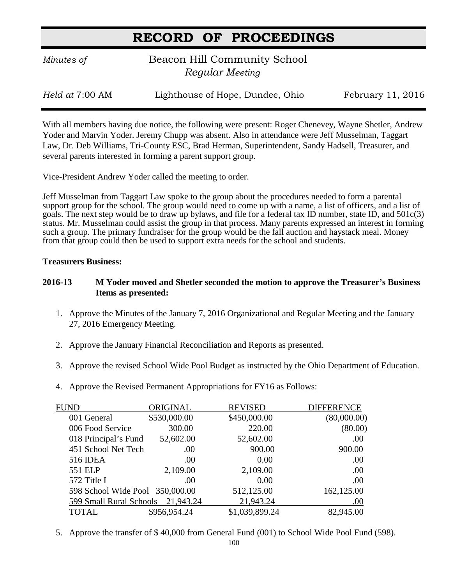*Minutes of* **Beacon Hill Community School**  *Regular Meeting*

*Held at* 7:00 AM Lighthouse of Hope, Dundee, Ohio February 11, 2016

With all members having due notice, the following were present: Roger Chenevey, Wayne Shetler, Andrew Yoder and Marvin Yoder. Jeremy Chupp was absent. Also in attendance were Jeff Musselman, Taggart Law, Dr. Deb Williams, Tri-County ESC, Brad Herman, Superintendent, Sandy Hadsell, Treasurer, and several parents interested in forming a parent support group.

Vice-President Andrew Yoder called the meeting to order.

Jeff Musselman from Taggart Law spoke to the group about the procedures needed to form a parental support group for the school. The group would need to come up with a name, a list of officers, and a list of goals. The next step would be to draw up bylaws, and file for a federal tax ID number, state ID, and 501c(3) status. Mr. Musselman could assist the group in that process. Many parents expressed an interest in forming such a group. The primary fundraiser for the group would be the fall auction and haystack meal. Money from that group could then be used to support extra needs for the school and students.

#### **Treasurers Business:**

#### **2016-13 M Yoder moved and Shetler seconded the motion to approve the Treasurer's Business Items as presented:**

- 1. Approve the Minutes of the January 7, 2016 Organizational and Regular Meeting and the January 27, 2016 Emergency Meeting.
- 2. Approve the January Financial Reconciliation and Reports as presented.
- 3. Approve the revised School Wide Pool Budget as instructed by the Ohio Department of Education.
- 4. Approve the Revised Permanent Appropriations for FY16 as Follows:

| FUND                              | ORIGINAL     | <b>REVISED</b> | <b>DIFFERENCE</b> |
|-----------------------------------|--------------|----------------|-------------------|
| 001 General                       | \$530,000.00 | \$450,000.00   | (80,000.00)       |
| 006 Food Service                  | 300.00       | 220.00         | (80.00)           |
| 018 Principal's Fund              | 52,602.00    | 52,602.00      | .00               |
| 451 School Net Tech               | .00          | 900.00         | 900.00            |
| <b>516 IDEA</b>                   | .00          | 0.00           | .00               |
| 551 ELP                           | 2,109.00     | 2,109.00       | .00               |
| 572 Title I                       | .00          | 0.00           | .00               |
| 598 School Wide Pool 350,000.00   |              | 512,125.00     | 162,125.00        |
| 599 Small Rural Schools 21,943.24 |              | 21,943.24      | .00               |
| <b>TOTAL</b>                      | \$956,954.24 | \$1,039,899.24 | 82,945.00         |
|                                   |              |                |                   |

5. Approve the transfer of \$ 40,000 from General Fund (001) to School Wide Pool Fund (598).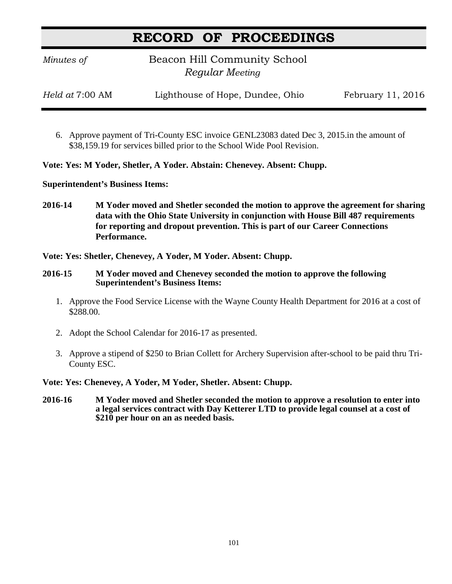*Minutes of* **Beacon Hill Community School**  *Regular Meeting*

*Held at* 7:00 AM Lighthouse of Hope, Dundee, Ohio February 11, 2016

6. Approve payment of Tri-County ESC invoice GENL23083 dated Dec 3, 2015.in the amount of \$38,159.19 for services billed prior to the School Wide Pool Revision.

**Vote: Yes: M Yoder, Shetler, A Yoder. Abstain: Chenevey. Absent: Chupp.**

**Superintendent's Business Items:**

**2016-14 M Yoder moved and Shetler seconded the motion to approve the agreement for sharing data with the Ohio State University in conjunction with House Bill 487 requirements for reporting and dropout prevention. This is part of our Career Connections Performance.**

**Vote: Yes: Shetler, Chenevey, A Yoder, M Yoder. Absent: Chupp.**

- **2016-15 M Yoder moved and Chenevey seconded the motion to approve the following Superintendent's Business Items:**
	- 1. Approve the Food Service License with the Wayne County Health Department for 2016 at a cost of \$288.00.
	- 2. Adopt the School Calendar for 2016-17 as presented.
	- 3. Approve a stipend of \$250 to Brian Collett for Archery Supervision after-school to be paid thru Tri-County ESC.

**Vote: Yes: Chenevey, A Yoder, M Yoder, Shetler. Absent: Chupp.**

**2016-16 M Yoder moved and Shetler seconded the motion to approve a resolution to enter into a legal services contract with Day Ketterer LTD to provide legal counsel at a cost of \$210 per hour on an as needed basis.**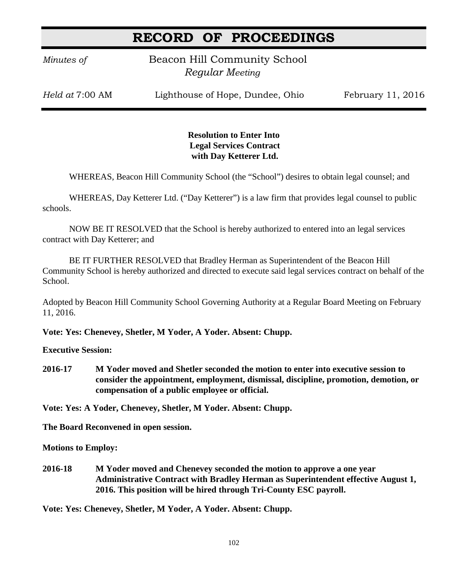*Minutes of* **Beacon Hill Community School**  *Regular Meeting*

*Held at* 7:00 AM Lighthouse of Hope, Dundee, Ohio February 11, 2016

#### **Resolution to Enter Into Legal Services Contract with Day Ketterer Ltd.**

WHEREAS, Beacon Hill Community School (the "School") desires to obtain legal counsel; and

WHEREAS, Day Ketterer Ltd. ("Day Ketterer") is a law firm that provides legal counsel to public schools.

NOW BE IT RESOLVED that the School is hereby authorized to entered into an legal services contract with Day Ketterer; and

BE IT FURTHER RESOLVED that Bradley Herman as Superintendent of the Beacon Hill Community School is hereby authorized and directed to execute said legal services contract on behalf of the School.

Adopted by Beacon Hill Community School Governing Authority at a Regular Board Meeting on February 11, 2016.

**Vote: Yes: Chenevey, Shetler, M Yoder, A Yoder. Absent: Chupp.**

**Executive Session:**

**2016-17 M Yoder moved and Shetler seconded the motion to enter into executive session to consider the appointment, employment, dismissal, discipline, promotion, demotion, or compensation of a public employee or official.**

**Vote: Yes: A Yoder, Chenevey, Shetler, M Yoder. Absent: Chupp.**

**The Board Reconvened in open session.**

**Motions to Employ:**

**2016-18 M Yoder moved and Chenevey seconded the motion to approve a one year Administrative Contract with Bradley Herman as Superintendent effective August 1, 2016. This position will be hired through Tri-County ESC payroll.**

**Vote: Yes: Chenevey, Shetler, M Yoder, A Yoder. Absent: Chupp.**